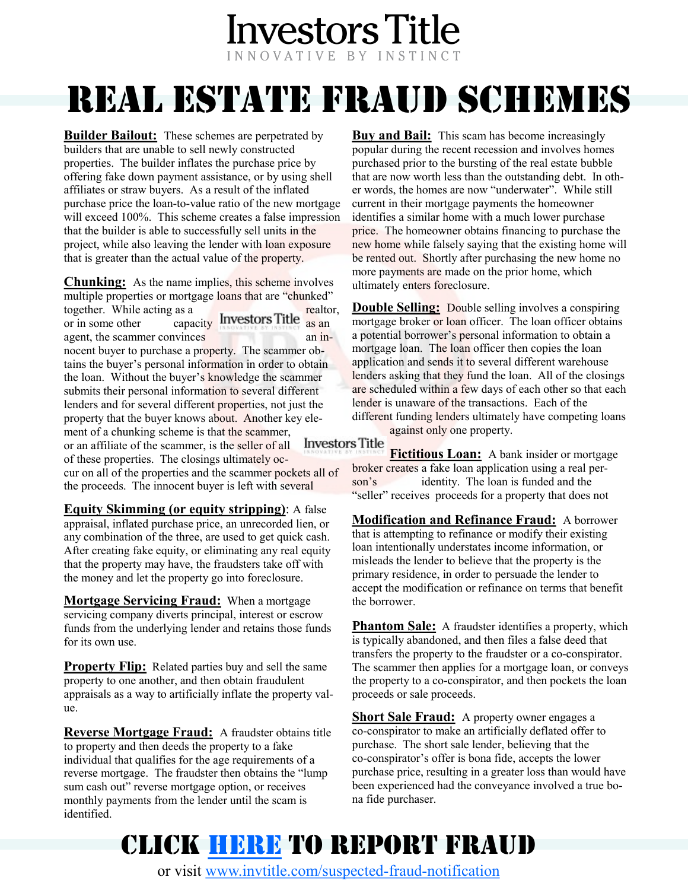#### **Investors Title** INNOVATIVE BY INSTINCT

# REAL ESTATE FRAUD SCHEMES

**Builder Bailout:** These schemes are perpetrated by builders that are unable to sell newly constructed properties. The builder inflates the purchase price by offering fake down payment assistance, or by using shell affiliates or straw buyers. As a result of the inflated purchase price the loan-to-value ratio of the new mortgage will exceed 100%. This scheme creates a false impression that the builder is able to successfully sell units in the project, while also leaving the lender with loan exposure that is greater than the actual value of the property.

**Chunking:** As the name implies, this scheme involves multiple properties or mortgage loans that are "chunked" together. While acting as a realtor,  $\frac{1}{\sqrt{2}}$  or in some other capacity Investors Title as an agent, the scammer convinces an innocent buyer to purchase a property. The scammer obtains the buyer's personal information in order to obtain the loan. Without the buyer's knowledge the scammer submits their personal information to several different lenders and for several different properties, not just the property that the buyer knows about. Another key element of a chunking scheme is that the scammer, or an affiliate of the scammer, is the seller of all of these properties. The closings ultimately occur on all of the properties and the scammer pockets all of

the proceeds. The innocent buyer is left with several

**Equity Skimming (or equity stripping)**: A false appraisal, inflated purchase price, an unrecorded lien, or any combination of the three, are used to get quick cash. After creating fake equity, or eliminating any real equity that the property may have, the fraudsters take off with the money and let the property go into foreclosure.

**Mortgage Servicing Fraud:** When a mortgage the borrower. servicing company diverts principal, interest or escrow funds from the underlying lender and retains those funds for its own use.

**Property Flip:** Related parties buy and sell the same property to one another, and then obtain fraudulent appraisals as a way to artificially inflate the property value.

**Reverse Mortgage Fraud:** A fraudster obtains title to property and then deeds the property to a fake individual that qualifies for the age requirements of a reverse mortgage. The fraudster then obtains the "lump sum cash out" reverse mortgage option, or receives monthly payments from the lender until the scam is identified.

**Buy and Bail:** This scam has become increasingly popular during the recent recession and involves homes purchased prior to the bursting of the real estate bubble that are now worth less than the outstanding debt. In other words, the homes are now "underwater". While still current in their mortgage payments the homeowner identifies a similar home with a much lower purchase price. The homeowner obtains financing to purchase the new home while falsely saying that the existing home will be rented out. Shortly after purchasing the new home no more payments are made on the prior home, which ultimately enters foreclosure.

**Double Selling:** Double selling involves a conspiring mortgage broker or loan officer. The loan officer obtains a potential borrower's personal information to obtain a mortgage loan. The loan officer then copies the loan application and sends it to several different warehouse lenders asking that they fund the loan. All of the closings are scheduled within a few days of each other so that each lender is unaware of the transactions. Each of the different funding lenders ultimately have competing loans against only one property.

#### **Investors** Title

**Fictitious Loan:** A bank insider or mortgage broker creates a fake loan application using a real person's identity. The loan is funded and the "seller" receives proceeds for a property that does not

**Modification and Refinance Fraud:** A borrower that is attempting to refinance or modify their existing loan intentionally understates income information, or misleads the lender to believe that the property is the primary residence, in order to persuade the lender to accept the modification or refinance on terms that benefit

**Phantom Sale:** A fraudster identifies a property, which is typically abandoned, and then files a false deed that transfers the property to the fraudster or a co-conspirator. The scammer then applies for a mortgage loan, or conveys the property to a co-conspirator, and then pockets the loan proceeds or sale proceeds.

**Short Sale Fraud:** A property owner engages a co-conspirator to make an artificially deflated offer to purchase. The short sale lender, believing that the co-conspirator's offer is bona fide, accepts the lower purchase price, resulting in a greater loss than would have been experienced had the conveyance involved a true bona fide purchaser.

## CLICK [HERE](http://www.invtitle.com/suspected-fraud-notification) TO REPORT FRAUD

or visit [www.invtitle.com/suspected](http://www.invtitle.com/suspected-fraud-notification)-fraud-notification